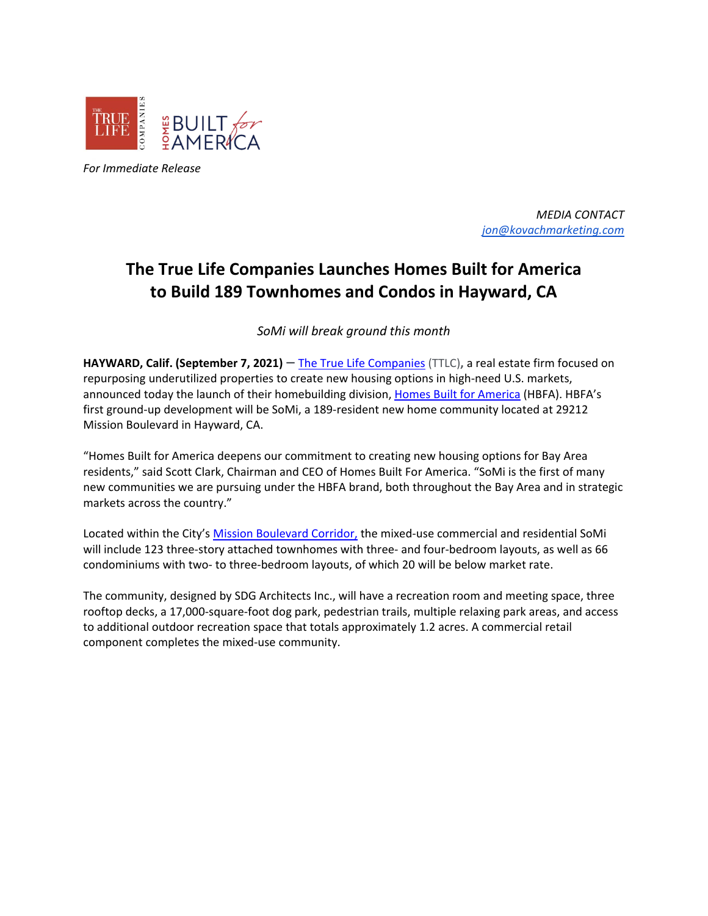

*For Immediate Release*

*MEDIA CONTACT [jon@kovachmarketing.com](mailto:jon@kovachmarketing.com)*

# **The True Life Companies Launches Homes Built for America to Build 189 Townhomes and Condos in Hayward, CA**

*SoMi will break ground this month*

**HAYWARD, Calif. (September 7, 2021) —** [The True Life Companies](https://www.thetruelifecompanies.com/) (TTLC)**,** a real estate firm focused on repurposing underutilized properties to create new housing options in high-need U.S. markets, announced today the launch of their homebuilding division, [Homes Built for America](https://www.builtforamerica.com/) (HBFA). HBFA's first ground-up development will be SoMi, a 189-resident new home community located at 29212 Mission Boulevard in Hayward, CA.

"Homes Built for America deepens our commitment to creating new housing options for Bay Area residents," said Scott Clark, Chairman and CEO of Homes Built For America. "SoMi is the first of many new communities we are pursuing under the HBFA brand, both throughout the Bay Area and in strategic markets across the country."

Located within the City's [Mission Boulevard Corridor,](http://www.municode.com/webcontent/15488/Attachment%20VI%20Mission%20Boulevard%20Code.pdf) the mixed-use commercial and residential SoMi will include 123 three-story attached townhomes with three- and four-bedroom layouts, as well as 66 condominiums with two- to three-bedroom layouts, of which 20 will be below market rate.

The community, designed by SDG Architects Inc., will have a recreation room and meeting space, three rooftop decks, a 17,000-square-foot dog park, pedestrian trails, multiple relaxing park areas, and access to additional outdoor recreation space that totals approximately 1.2 acres. A commercial retail component completes the mixed-use community.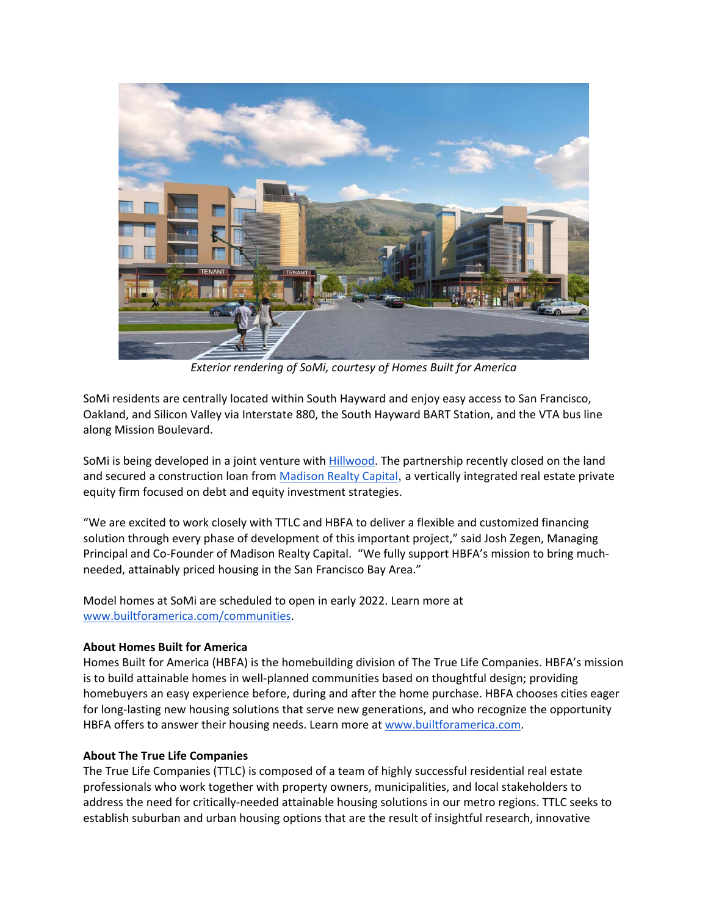

*Exterior rendering of SoMi, courtesy of Homes Built for America*

SoMi residents are centrally located within South Hayward and enjoy easy access to San Francisco, Oakland, and Silicon Valley via Interstate 880, the South Hayward BART Station, and the VTA bus line along Mission Boulevard.

SoMi is being developed in a joint venture with **Hillwood**. The partnership recently closed on the land and secured a construction loan fro[m Madison Realty Capital](http://www.madisonrealtycapital.com/), a vertically integrated real estate private equity firm focused on debt and equity investment strategies.

"We are excited to work closely with TTLC and HBFA to deliver a flexible and customized financing solution through every phase of development of this important project," said Josh Zegen, Managing Principal and Co-Founder of Madison Realty Capital. "We fully support HBFA's mission to bring muchneeded, attainably priced housing in the San Francisco Bay Area."

Model homes at SoMi are scheduled to open in early 2022. Learn more at [www.builtforamerica.com/communities.](http://www.builtforamerica.com/communities)

## **About Homes Built for America**

Homes Built for America (HBFA) is the homebuilding division of The True Life Companies. HBFA's mission is to build attainable homes in well-planned communities based on thoughtful design; providing homebuyers an easy experience before, during and after the home purchase. HBFA chooses cities eager for long-lasting new housing solutions that serve new generations, and who recognize the opportunity HBFA offers to answer their housing needs. Learn more at [www.builtforamerica.com.](http://www.builtforamerica.com/)

## **About The True Life Companies**

The True Life Companies (TTLC) is composed of a team of highly successful residential real estate professionals who work together with property owners, municipalities, and local stakeholders to address the need for critically-needed attainable housing solutions in our metro regions. TTLC seeks to establish suburban and urban housing options that are the result of insightful research, innovative